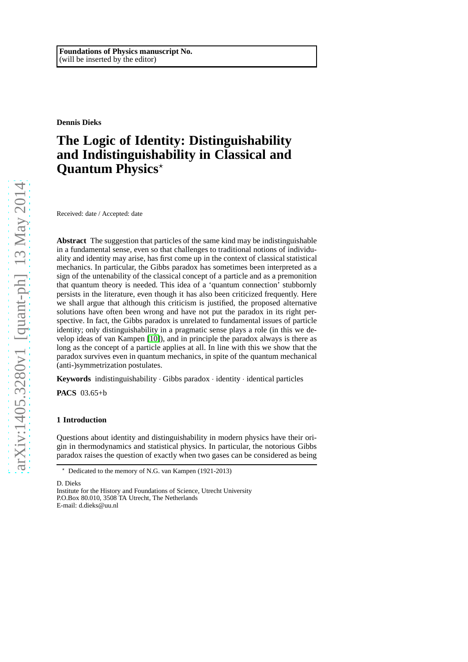**Dennis Dieks**

# **The Logic of Identity: Distinguishability and Indistinguishability in Classical and Quantum Physics**<sup>\*</sup>

Received: date / Accepted: date

**Abstract** The suggestion that particles of the same kind may be indistinguishable in a fundamental sense, even so that challenges to traditional notions of individuality and identity may arise, has first come up in the context of classical statistical mechanics. In particular, the Gibbs paradox has sometimes been interpreted as a sign of the untenability of the classical concept of a particle and as a premonition that quantum theory is needed. This idea of a 'quantum connection' stubbornly persists in the literature, even though it has also been criticized frequently. Here we shall argue that although this criticism is justified, the proposed alternative solutions have often been wrong and have not put the paradox in its right perspective. In fact, the Gibbs paradox is unrelated to fundamental issues of particle identity; only distinguishability in a pragmatic sense plays a role (in this we develop ideas of van Kampen [\[10\]](#page-14-0)), and in principle the paradox always is there as long as the concept of a particle applies at all. In line with this we show that the paradox survives even in quantum mechanics, in spite of the quantum mechanical (anti-)symmetrization postulates.

**Keywords** indistinguishability · Gibbs paradox · identity · identical particles

**PACS** 03.65+b

## **1 Introduction**

Questions about identity and distinguishability in modern physics have their origin in thermodynamics and statistical physics. In particular, the notorious Gibbs paradox raises the question of exactly when two gases can be considered as being

D. Dieks

<sup>⋆</sup> Dedicated to the memory of N.G. van Kampen (1921-2013)

Institute for the History and Foundations of Science, Utrecht University P.O.Box 80.010, 3508 TA Utrecht, The Netherlands E-mail: d.dieks@uu.nl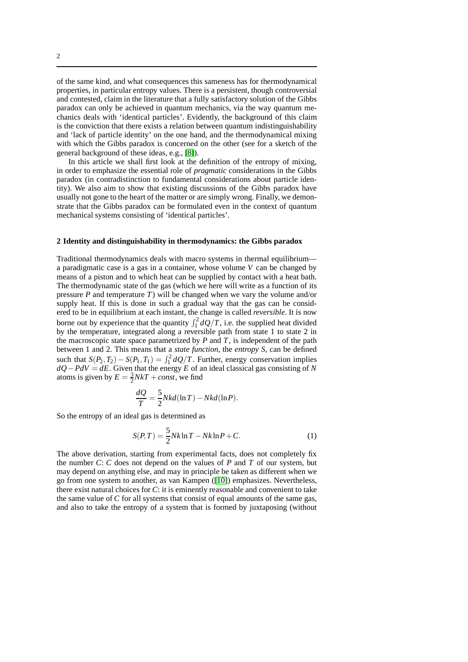of the same kind, and what consequences this sameness has for thermodynamical properties, in particular entropy values. There is a persistent, though controversial and contested, claim in the literature that a fully satisfactory solution of the Gibbs paradox can only be achieved in quantum mechanics, via the way quantum mechanics deals with 'identical particles'. Evidently, the background of this claim is the conviction that there exists a relation between quantum indistinguishability and 'lack of particle identity' on the one hand, and the thermodynamical mixing with which the Gibbs paradox is concerned on the other (see for a sketch of the general background of these ideas, e.g., [\[8\]](#page-14-1)).

In this article we shall first look at the definition of the entropy of mixing, in order to emphasize the essential role of *pragmatic* considerations in the Gibbs paradox (in contradistinction to fundamental considerations about particle identity). We also aim to show that existing discussions of the Gibbs paradox have usually not gone to the heart of the matter or are simply wrong. Finally, we demonstrate that the Gibbs paradox can be formulated even in the context of quantum mechanical systems consisting of 'identical particles'.

## **2 Identity and distinguishability in thermodynamics: the Gibbs paradox**

Traditional thermodynamics deals with macro systems in thermal equilibrium a paradigmatic case is a gas in a container, whose volume *V* can be changed by means of a piston and to which heat can be supplied by contact with a heat bath. The thermodynamic state of the gas (which we here will write as a function of its pressure *P* and temperature *T*) will be changed when we vary the volume and/or supply heat. If this is done in such a gradual way that the gas can be considered to be in equilibrium at each instant, the change is called *reversible*. It is now borne out by experience that the quantity  $\int_1^2 dQ/T$ , i.e. the supplied heat divided by the temperature, integrated along a reversible path from state 1 to state 2 in the macroscopic state space parametrized by  $P$  and  $T$ , is independent of the path between 1 and 2. This means that a *state function*, the *entropy S*, can be defined such that  $S(P_2, T_2) - S(P_1, T_1) = \int_1^2 dQ/T$ . Further, energy conservation implies *dQ*−*PdV* = *dE*. Given that the energy *E* of an ideal classical gas consisting of *N* atoms is given by  $E = \frac{3}{2} NkT + const$ , we find

$$
\frac{dQ}{T} = \frac{5}{2} Nkd(\ln T) - Nkd(\ln P).
$$

So the entropy of an ideal gas is determined as

<span id="page-1-0"></span>
$$
S(P,T) = \frac{5}{2}Nk\ln T - Nk\ln P + C.
$$
 (1)

The above derivation, starting from experimental facts, does not completely fix the number *C*: *C* does not depend on the values of *P* and *T* of our system, but may depend on anything else, and may in principle be taken as different when we go from one system to another, as van Kampen ([\[10\]](#page-14-0)) emphasizes. Nevertheless, there exist natural choices for *C*: it is eminently reasonable and convenient to take the same value of *C* for all systems that consist of equal amounts of the same gas, and also to take the entropy of a system that is formed by juxtaposing (without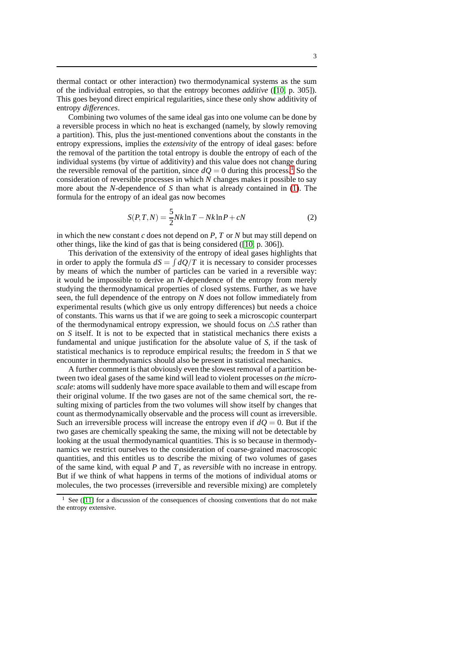thermal contact or other interaction) two thermodynamical systems as the sum of the individual entropies, so that the entropy becomes *additive* ([\[10,](#page-14-0) p. 305]). This goes beyond direct empirical regularities, since these only show additivity of entropy *differences*.

Combining two volumes of the same ideal gas into one volume can be done by a reversible process in which no heat is exchanged (namely, by slowly removing a partition). This, plus the just-mentioned conventions about the constants in the entropy expressions, implies the *extensivity* of the entropy of ideal gases: before the removal of the partition the total entropy is double the entropy of each of the individual systems (by virtue of additivity) and this value does not change during the reversible removal of the partition, since  $dQ = 0$  during this process.<sup>[1](#page-2-0)</sup> So the consideration of reversible processes in which *N* changes makes it possible to say more about the *N*-dependence of *S* than what is already contained in [\(1\)](#page-1-0). The formula for the entropy of an ideal gas now becomes

$$
S(P,T,N) = \frac{5}{2} Nk \ln T - Nk \ln P + cN
$$
 (2)

in which the new constant *c* does not depend on *P*, *T* or *N* but may still depend on other things, like the kind of gas that is being considered ([\[10,](#page-14-0) p. 306]).

This derivation of the extensivity of the entropy of ideal gases highlights that in order to apply the formula  $dS = \int dQ/T$  it is necessary to consider processes by means of which the number of particles can be varied in a reversible way: it would be impossible to derive an *N*-dependence of the entropy from merely studying the thermodynamical properties of closed systems. Further, as we have seen, the full dependence of the entropy on *N* does not follow immediately from experimental results (which give us only entropy differences) but needs a choice of constants. This warns us that if we are going to seek a microscopic counterpart of the thermodynamical entropy expression, we should focus on  $\triangle S$  rather than on *S* itself. It is not to be expected that in statistical mechanics there exists a fundamental and unique justification for the absolute value of *S*, if the task of statistical mechanics is to reproduce empirical results; the freedom in *S* that we encounter in thermodynamics should also be present in statistical mechanics.

A further comment is that obviously even the slowest removal of a partition between two ideal gases of the same kind will lead to violent processes *on the microscale*: atoms will suddenly have more space available to them and will escape from their original volume. If the two gases are not of the same chemical sort, the resulting mixing of particles from the two volumes will show itself by changes that count as thermodynamically observable and the process will count as irreversible. Such an irreversible process will increase the entropy even if  $dQ = 0$ . But if the two gases are chemically speaking the same, the mixing will not be detectable by looking at the usual thermodynamical quantities. This is so because in thermodynamics we restrict ourselves to the consideration of coarse-grained macroscopic quantities, and this entitles us to describe the mixing of two volumes of gases of the same kind, with equal *P* and *T*, as *reversible* with no increase in entropy. But if we think of what happens in terms of the motions of individual atoms or molecules, the two processes (irreversible and reversible mixing) are completely

<span id="page-2-0"></span>See ([\[11\]](#page-14-2) for a discussion of the consequences of choosing conventions that do not make the entropy extensive.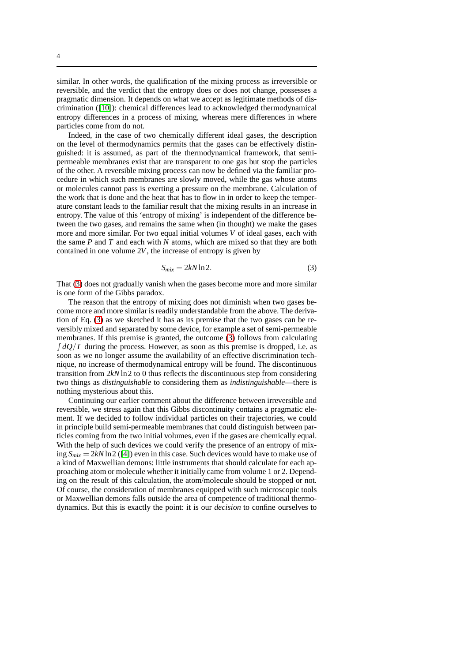similar. In other words, the qualification of the mixing process as irreversible or reversible, and the verdict that the entropy does or does not change, possesses a pragmatic dimension. It depends on what we accept as legitimate methods of discrimination ([\[10\]](#page-14-0)): chemical differences lead to acknowledged thermodynamical entropy differences in a process of mixing, whereas mere differences in where

Indeed, in the case of two chemically different ideal gases, the description on the level of thermodynamics permits that the gases can be effectively distinguished: it is assumed, as part of the thermodynamical framework, that semipermeable membranes exist that are transparent to one gas but stop the particles of the other. A reversible mixing process can now be defined via the familiar procedure in which such membranes are slowly moved, while the gas whose atoms or molecules cannot pass is exerting a pressure on the membrane. Calculation of the work that is done and the heat that has to flow in in order to keep the temperature constant leads to the familiar result that the mixing results in an increase in entropy. The value of this 'entropy of mixing' is independent of the difference between the two gases, and remains the same when (in thought) we make the gases more and more similar. For two equal initial volumes *V* of ideal gases, each with the same *P* and *T* and each with *N* atoms, which are mixed so that they are both contained in one volume 2*V*, the increase of entropy is given by

<span id="page-3-0"></span>
$$
S_{mix} = 2kN \ln 2. \tag{3}
$$

That [\(3\)](#page-3-0) does not gradually vanish when the gases become more and more similar is one form of the Gibbs paradox.

The reason that the entropy of mixing does not diminish when two gases become more and more similar is readily understandable from the above. The derivation of Eq. [\(3\)](#page-3-0) as we sketched it has as its premise that the two gases can be reversibly mixed and separated by some device, for example a set of semi-permeable membranes. If this premise is granted, the outcome [\(3\)](#page-3-0) follows from calculating  $\int dQ/T$  during the process. However, as soon as this premise is dropped, i.e. as soon as we no longer assume the availability of an effective discrimination technique, no increase of thermodynamical entropy will be found. The discontinuous transition from 2*kN* ln2 to 0 thus reflects the discontinuous step from considering two things as *distinguishable* to considering them as *indistinguishable*—there is nothing mysterious about this.

Continuing our earlier comment about the difference between irreversible and reversible, we stress again that this Gibbs discontinuity contains a pragmatic element. If we decided to follow individual particles on their trajectories, we could in principle build semi-permeable membranes that could distinguish between particles coming from the two initial volumes, even if the gases are chemically equal. With the help of such devices we could verify the presence of an entropy of mixing  $S_{mix} = 2kN \ln 2$  ([\[4\]](#page-14-3)) even in this case. Such devices would have to make use of a kind of Maxwellian demons: little instruments that should calculate for each approaching atom or molecule whether it initially came from volume 1 or 2. Depending on the result of this calculation, the atom/molecule should be stopped or not. Of course, the consideration of membranes equipped with such microscopic tools or Maxwellian demons falls outside the area of competence of traditional thermodynamics. But this is exactly the point: it is our *decision* to confine ourselves to

particles come from do not.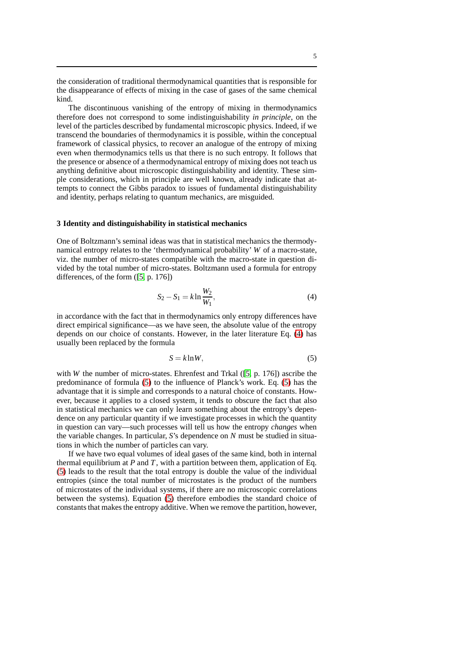the consideration of traditional thermodynamical quantities that is responsible for the disappearance of effects of mixing in the case of gases of the same chemical kind.

The discontinuous vanishing of the entropy of mixing in thermodynamics therefore does not correspond to some indistinguishability *in principle*, on the level of the particles described by fundamental microscopic physics. Indeed, if we transcend the boundaries of thermodynamics it is possible, within the conceptual framework of classical physics, to recover an analogue of the entropy of mixing even when thermodynamics tells us that there is no such entropy. It follows that the presence or absence of a thermodynamical entropy of mixing does not teach us anything definitive about microscopic distinguishability and identity. These simple considerations, which in principle are well known, already indicate that attempts to connect the Gibbs paradox to issues of fundamental distinguishability and identity, perhaps relating to quantum mechanics, are misguided.

#### **3 Identity and distinguishability in statistical mechanics**

One of Boltzmann's seminal ideas was that in statistical mechanics the thermodynamical entropy relates to the 'thermodynamical probability' *W* of a macro-state, viz. the number of micro-states compatible with the macro-state in question divided by the total number of micro-states. Boltzmann used a formula for entropy differences, of the form ([\[5,](#page-14-4) p. 176])

<span id="page-4-0"></span>
$$
S_2 - S_1 = k \ln \frac{W_2}{W_1},
$$
\n(4)

in accordance with the fact that in thermodynamics only entropy differences have direct empirical significance—as we have seen, the absolute value of the entropy depends on our choice of constants. However, in the later literature Eq. [\(4\)](#page-4-0) has usually been replaced by the formula

<span id="page-4-1"></span>
$$
S = k \ln W,\tag{5}
$$

with *W* the number of micro-states. Ehrenfest and Trkal ([\[5,](#page-14-4) p. 176]) ascribe the predominance of formula [\(5\)](#page-4-1) to the influence of Planck's work. Eq. [\(5\)](#page-4-1) has the advantage that it is simple and corresponds to a natural choice of constants. However, because it applies to a closed system, it tends to obscure the fact that also in statistical mechanics we can only learn something about the entropy's dependence on any particular quantity if we investigate processes in which the quantity in question can vary—such processes will tell us how the entropy *changes* when the variable changes. In particular, *S*'s dependence on *N* must be studied in situations in which the number of particles can vary.

If we have two equal volumes of ideal gases of the same kind, both in internal thermal equilibrium at *P* and *T*, with a partition between them, application of Eq. [\(5\)](#page-4-1) leads to the result that the total entropy is double the value of the individual entropies (since the total number of microstates is the product of the numbers of microstates of the individual systems, if there are no microscopic correlations between the systems). Equation [\(5\)](#page-4-1) therefore embodies the standard choice of constants that makes the entropy additive. When we remove the partition, however,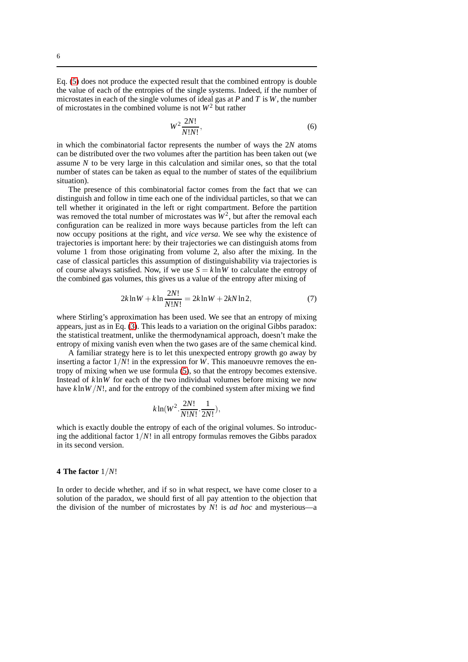Eq. [\(5\)](#page-4-1) does not produce the expected result that the combined entropy is double the value of each of the entropies of the single systems. Indeed, if the number of microstates in each of the single volumes of ideal gas at *P* and *T* is *W*, the number of microstates in the combined volume is not  $W^2$  but rather

$$
W^2 \frac{2N!}{N!N!},\tag{6}
$$

in which the combinatorial factor represents the number of ways the 2*N* atoms can be distributed over the two volumes after the partition has been taken out (we assume *N* to be very large in this calculation and similar ones, so that the total number of states can be taken as equal to the number of states of the equilibrium situation).

The presence of this combinatorial factor comes from the fact that we can distinguish and follow in time each one of the individual particles, so that we can tell whether it originated in the left or right compartment. Before the partition was removed the total number of microstates was  $W^2$ , but after the removal each configuration can be realized in more ways because particles from the left can now occupy positions at the right, and *vice versa*. We see why the existence of trajectories is important here: by their trajectories we can distinguish atoms from volume 1 from those originating from volume 2, also after the mixing. In the case of classical particles this assumption of distinguishability via trajectories is of course always satisfied. Now, if we use  $S = k \ln W$  to calculate the entropy of the combined gas volumes, this gives us a value of the entropy after mixing of

$$
2k\ln W + k\ln \frac{2N!}{N!N!} = 2k\ln W + 2kN\ln 2,\tag{7}
$$

where Stirling's approximation has been used. We see that an entropy of mixing appears, just as in Eq. [\(3\)](#page-3-0). This leads to a variation on the original Gibbs paradox: the statistical treatment, unlike the thermodynamical approach, doesn't make the entropy of mixing vanish even when the two gases are of the same chemical kind.

A familiar strategy here is to let this unexpected entropy growth go away by inserting a factor  $1/N!$  in the expression for *W*. This manoeuvre removes the entropy of mixing when we use formula [\(5\)](#page-4-1), so that the entropy becomes extensive. Instead of *k* ln*W* for each of the two individual volumes before mixing we now have *k* ln*W*/*N*!, and for the entropy of the combined system after mixing we find

$$
k\ln(W^2.\frac{2N!}{N!N!}.\frac{1}{2N!}),
$$

which is exactly double the entropy of each of the original volumes. So introducing the additional factor  $1/N!$  in all entropy formulas removes the Gibbs paradox in its second version.

## **4 The factor** 1/*N*!

In order to decide whether, and if so in what respect, we have come closer to a solution of the paradox, we should first of all pay attention to the objection that the division of the number of microstates by *N*! is *ad hoc* and mysterious—a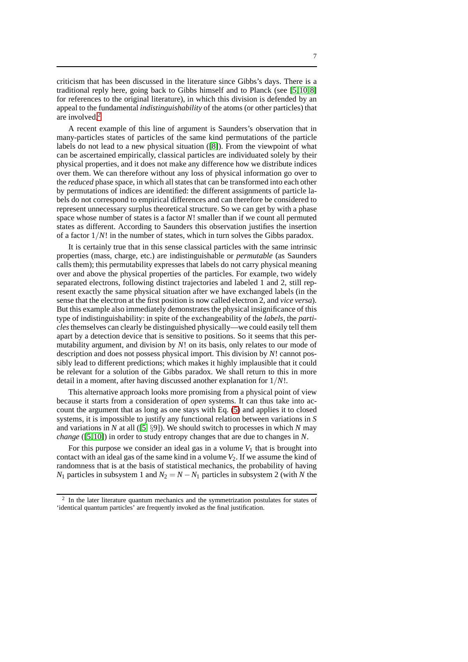criticism that has been discussed in the literature since Gibbs's days. There is a traditional reply here, going back to Gibbs himself and to Planck (see [\[5,](#page-14-4)[10,](#page-14-0)[8\]](#page-14-1) for references to the original literature), in which this division is defended by an appeal to the fundamental *indistinguishability* of the atoms (or other particles) that are involved.[2](#page-6-0)

A recent example of this line of argument is Saunders's observation that in many-particles states of particles of the same kind permutations of the particle labels do not lead to a new physical situation ([\[8\]](#page-14-1)). From the viewpoint of what can be ascertained empirically, classical particles are individuated solely by their physical properties, and it does not make any difference how we distribute indices over them. We can therefore without any loss of physical information go over to the *reduced* phase space, in which all states that can be transformed into each other by permutations of indices are identified: the different assignments of particle labels do not correspond to empirical differences and can therefore be considered to represent unnecessary surplus theoretical structure. So we can get by with a phase space whose number of states is a factor *N*! smaller than if we count all permuted states as different. According to Saunders this observation justifies the insertion of a factor  $1/N!$  in the number of states, which in turn solves the Gibbs paradox.

It is certainly true that in this sense classical particles with the same intrinsic properties (mass, charge, etc.) are indistinguishable or *permutable* (as Saunders calls them); this permutability expresses that labels do not carry physical meaning over and above the physical properties of the particles. For example, two widely separated electrons, following distinct trajectories and labeled 1 and 2, still represent exactly the same physical situation after we have exchanged labels (in the sense that the electron at the first position is now called electron 2, and *vice versa*). But this example also immediately demonstrates the physical insignificance of this type of indistinguishability: in spite of the exchangeability of the *labels*, the *particles*themselves can clearly be distinguished physically—we could easily tell them apart by a detection device that is sensitive to positions. So it seems that this permutability argument, and division by *N*! on its basis, only relates to our mode of description and does not possess physical import. This division by *N*! cannot possibly lead to different predictions; which makes it highly implausible that it could be relevant for a solution of the Gibbs paradox. We shall return to this in more detail in a moment, after having discussed another explanation for 1/*N*!.

This alternative approach looks more promising from a physical point of view because it starts from a consideration of *open* systems. It can thus take into account the argument that as long as one stays with Eq. [\(5\)](#page-4-1) and applies it to closed systems, it is impossible to justify any functional relation between variations in *S* and variations in *N* at all ([\[5,](#page-14-4) §9]). We should switch to processes in which *N* may *change* ([\[5,](#page-14-4)[10\]](#page-14-0)) in order to study entropy changes that are due to changes in *N*.

For this purpose we consider an ideal gas in a volume  $V_1$  that is brought into contact with an ideal gas of the same kind in a volume  $V_2$ . If we assume the kind of randomness that is at the basis of statistical mechanics, the probability of having *N*<sub>1</sub> particles in subsystem 1 and  $N_2 = N - N_1$  particles in subsystem 2 (with *N* the

<span id="page-6-0"></span><sup>2</sup> In the later literature quantum mechanics and the symmetrization postulates for states of 'identical quantum particles' are frequently invoked as the final justification.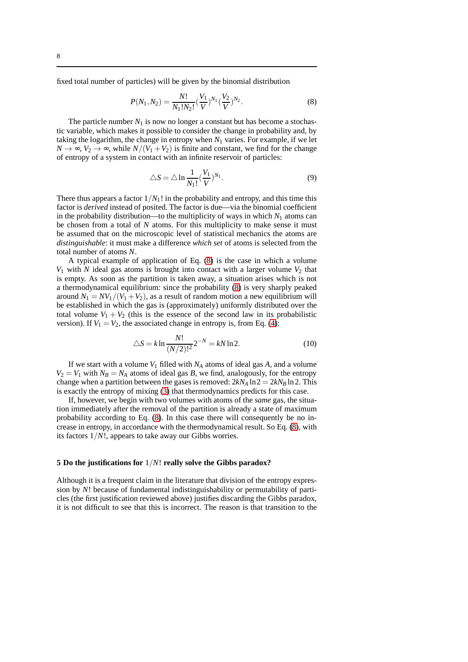fixed total number of particles) will be given by the binomial distribution

<span id="page-7-0"></span>
$$
P(N_1, N_2) = \frac{N!}{N_1! N_2!} (\frac{V_1}{V})^{N_1} (\frac{V_2}{V})^{N_2}.
$$
 (8)

The particle number  $N_1$  is now no longer a constant but has become a stochastic variable, which makes it possible to consider the change in probability and, by taking the logarithm, the change in entropy when  $N_1$  varies. For example, if we let  $N \to \infty$ ,  $V_2 \to \infty$ , while  $N/(V_1 + V_2)$  is finite and constant, we find for the change of entropy of a system in contact with an infinite reservoir of particles:

$$
\triangle S = \triangle \ln \frac{1}{N_1!} (\frac{V_1}{V})^{N_1}.
$$
\n(9)

There thus appears a factor  $1/N_1!$  in the probability and entropy, and this time this factor is *derived* instead of posited. The factor is due—via the binomial coefficient in the probability distribution—to the multiplicity of ways in which  $N_1$  atoms can be chosen from a total of *N* atoms. For this multiplicity to make sense it must be assumed that on the microscopic level of statistical mechanics the atoms are *distinguishable*: it must make a difference *which set* of atoms is selected from the total number of atoms *N*.

A typical example of application of Eq. [\(8\)](#page-7-0) is the case in which a volume  $V_1$  with  $N$  ideal gas atoms is brought into contact with a larger volume  $V_2$  that is empty. As soon as the partition is taken away, a situation arises which is not a thermodynamical equilibrium: since the probability [\(8\)](#page-7-0) is very sharply peaked around  $N_1 = NV_1/(V_1 + V_2)$ , as a result of random motion a new equilibrium will be established in which the gas is (approximately) uniformly distributed over the total volume  $V_1 + V_2$  (this is the essence of the second law in its probabilistic version). If  $V_1 = V_2$ , the associated change in entropy is, from Eq. [\(4\)](#page-4-0):

$$
\triangle S = k \ln \frac{N!}{(N/2)!^2} 2^{-N} = k N \ln 2.
$$
 (10)

If we start with a volume  $V_1$  filled with  $N_A$  atoms of ideal gas  $A$ , and a volume  $V_2 = V_1$  with  $N_B = N_A$  atoms of ideal gas *B*, we find, analogously, for the entropy change when a partition between the gases is removed:  $2kN_A \ln 2 = 2kN_B \ln 2$ . This is exactly the entropy of mixing [\(3\)](#page-3-0) that thermodynamics predicts for this case.

If, however, we begin with two volumes with atoms of the *same* gas, the situation immediately after the removal of the partition is already a state of maximum probability according to Eq. [\(8\)](#page-7-0). In this case there will consequently be no increase in entropy, in accordance with the thermodynamical result. So Eq. [\(8\)](#page-7-0), with its factors 1/*N*!, appears to take away our Gibbs worries.

## **5 Do the justifications for** 1/*N*! **really solve the Gibbs paradox?**

Although it is a frequent claim in the literature that division of the entropy expression by *N*! because of fundamental indistinguishability or permutability of particles (the first justification reviewed above) justifies discarding the Gibbs paradox, it is not difficult to see that this is incorrect. The reason is that transition to the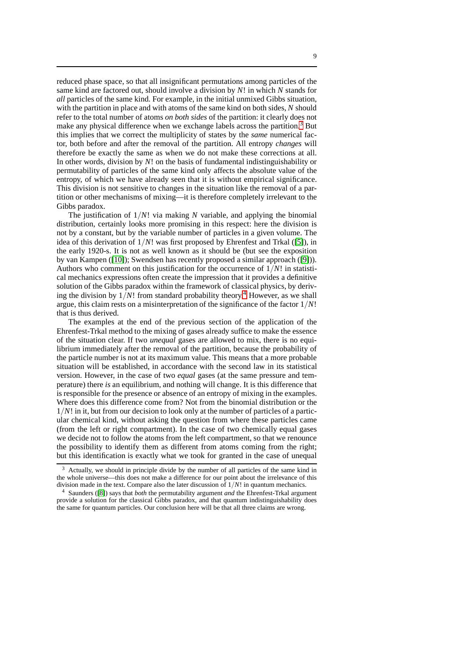reduced phase space, so that all insignificant permutations among particles of the same kind are factored out, should involve a division by *N*! in which *N* stands for *all* particles of the same kind. For example, in the initial unmixed Gibbs situation, with the partition in place and with atoms of the same kind on both sides, *N* should refer to the total number of atoms *on both sides* of the partition: it clearly does not make any physical difference when we exchange labels across the partition.<sup>[3](#page-8-0)</sup> But this implies that we correct the multiplicity of states by the *same* numerical factor, both before and after the removal of the partition. All entropy *changes* will therefore be exactly the same as when we do not make these corrections at all. In other words, division by *N*! on the basis of fundamental indistinguishability or permutability of particles of the same kind only affects the absolute value of the entropy, of which we have already seen that it is without empirical significance. This division is not sensitive to changes in the situation like the removal of a partition or other mechanisms of mixing—it is therefore completely irrelevant to the Gibbs paradox.

The justification of 1/*N*! via making *N* variable, and applying the binomial distribution, certainly looks more promising in this respect: here the division is not by a constant, but by the variable number of particles in a given volume. The idea of this derivation of 1/*N*! was first proposed by Ehrenfest and Trkal ([\[5\]](#page-14-4)), in the early 1920-s. It is not as well known as it should be (but see the exposition by van Kampen ([\[10\]](#page-14-0)); Swendsen has recently proposed a similar approach ([\[9\]](#page-14-5))). Authors who comment on this justification for the occurrence of 1/*N*! in statistical mechanics expressions often create the impression that it provides a definitive solution of the Gibbs paradox within the framework of classical physics, by deriving the division by  $1/N!$  from standard probability theory.<sup>[4](#page-8-1)</sup> However, as we shall argue, this claim rests on a misinterpretation of the significance of the factor 1/*N*! that is thus derived.

The examples at the end of the previous section of the application of the Ehrenfest-Trkal method to the mixing of gases already suffice to make the essence of the situation clear. If two *unequal* gases are allowed to mix, there is no equilibrium immediately after the removal of the partition, because the probability of the particle number is not at its maximum value. This means that a more probable situation will be established, in accordance with the second law in its statistical version. However, in the case of two *equal* gases (at the same pressure and temperature) there *is* an equilibrium, and nothing will change. It is this difference that is responsible for the presence or absence of an entropy of mixing in the examples. Where does this difference come from? Not from the binomial distribution or the 1/*N*! in it, but from our decision to look only at the number of particles of a particular chemical kind, without asking the question from where these particles came (from the left or right compartment). In the case of two chemically equal gases we decide not to follow the atoms from the left compartment, so that we renounce the possibility to identify them as different from atoms coming from the right; but this identification is exactly what we took for granted in the case of unequal

<span id="page-8-0"></span><sup>&</sup>lt;sup>3</sup> Actually, we should in principle divide by the number of all particles of the same kind in the whole universe—this does not make a difference for our point about the irrelevance of this division made in the text. Compare also the later discussion of 1/*N*! in quantum mechanics.

<span id="page-8-1"></span><sup>4</sup> Saunders ([\[8\]](#page-14-1)) says that *both* the permutability argument *and* the Ehrenfest-Trkal argument provide a solution for the classical Gibbs paradox, and that quantum indistinguishability does the same for quantum particles. Our conclusion here will be that all three claims are wrong.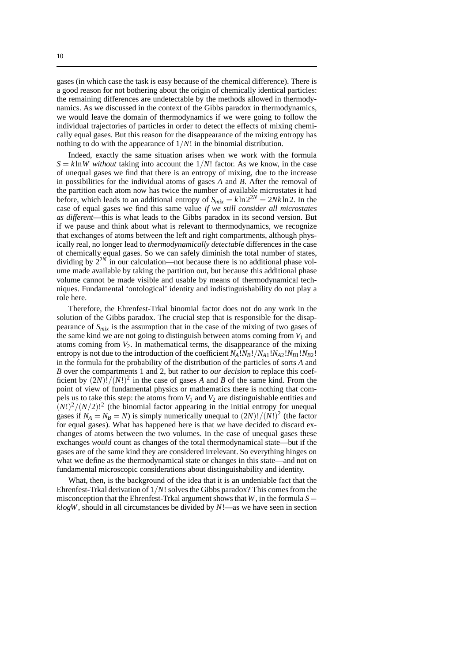gases (in which case the task is easy because of the chemical difference). There is a good reason for not bothering about the origin of chemically identical particles: the remaining differences are undetectable by the methods allowed in thermodynamics. As we discussed in the context of the Gibbs paradox in thermodynamics, we would leave the domain of thermodynamics if we were going to follow the individual trajectories of particles in order to detect the effects of mixing chemically equal gases. But this reason for the disappearance of the mixing entropy has nothing to do with the appearance of 1/*N*! in the binomial distribution.

Indeed, exactly the same situation arises when we work with the formula  $S = k \ln W$  without taking into account the  $1/N!$  factor. As we know, in the case of unequal gases we find that there is an entropy of mixing, due to the increase in possibilities for the individual atoms of gases *A* and *B*. After the removal of the partition each atom now has twice the number of available microstates it had before, which leads to an additional entropy of  $S_{mix} = k \ln 2^{2N} = 2Nk \ln 2$ . In the case of equal gases we find this same value *if we still consider all microstates as different*—this is what leads to the Gibbs paradox in its second version. But if we pause and think about what is relevant to thermodynamics, we recognize that exchanges of atoms between the left and right compartments, although physically real, no longer lead to *thermodynamically detectable* differences in the case of chemically equal gases. So we can safely diminish the total number of states, dividing by  $2^{2N}$  in our calculation—not because there is no additional phase volume made available by taking the partition out, but because this additional phase volume cannot be made visible and usable by means of thermodynamical techniques. Fundamental 'ontological' identity and indistinguishability do not play a role here.

Therefore, the Ehrenfest-Trkal binomial factor does not do any work in the solution of the Gibbs paradox. The crucial step that is responsible for the disappearance of *Smix* is the assumption that in the case of the mixing of two gases of the same kind we are not going to distinguish between atoms coming from  $V_1$  and atoms coming from *V*2. In mathematical terms, the disappearance of the mixing entropy is not due to the introduction of the coefficient  $N_A!N_B!/N_{A1}!N_{A2}!N_{B1}!N_{B2}!$ in the formula for the probability of the distribution of the particles of sorts *A* and *B* over the compartments 1 and 2, but rather to *our decision* to replace this coefficient by  $(2N)!/(N!)^2$  in the case of gases *A* and *B* of the same kind. From the point of view of fundamental physics or mathematics there is nothing that compels us to take this step: the atoms from  $V_1$  and  $V_2$  are distinguishable entities and  $(N!)^2/(N/2)!^2$  (the binomial factor appearing in the initial entropy for unequal gases if  $N_A = N_B = N$ ) is simply numerically unequal to  $(2N)!/(N!)^2$  (the factor for equal gases). What has happened here is that *we* have decided to discard exchanges of atoms between the two volumes. In the case of unequal gases these exchanges *would* count as changes of the total thermodynamical state—but if the gases are of the same kind they are considered irrelevant. So everything hinges on what we define as the thermodynamical state or changes in this state—and not on fundamental microscopic considerations about distinguishability and identity.

What, then, is the background of the idea that it is an undeniable fact that the Ehrenfest-Trkal derivation of 1/*N*! solves the Gibbs paradox? This comes from the misconception that the Ehrenfest-Trkal argument shows that *W*, in the formula  $S =$ *klogW*, should in all circumstances be divided by *N*!—as we have seen in section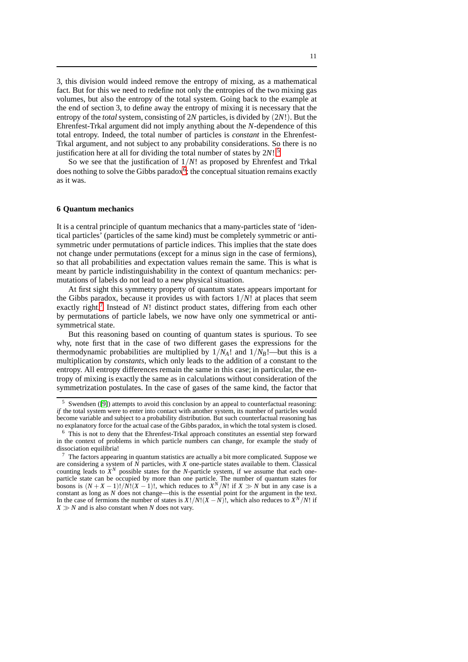3, this division would indeed remove the entropy of mixing, as a mathematical fact. But for this we need to redefine not only the entropies of the two mixing gas volumes, but also the entropy of the total system. Going back to the example at the end of section 3, to define away the entropy of mixing it is necessary that the entropy of the *total* system, consisting of 2*N* particles, is divided by (2*N*!). But the Ehrenfest-Trkal argument did not imply anything about the *N*-dependence of this total entropy. Indeed, the total number of particles is *constant* in the Ehrenfest-Trkal argument, and not subject to any probability considerations. So there is no justification here at all for dividing the total number of states by 2*N*!.[5](#page-10-0)

So we see that the justification of 1/*N*! as proposed by Ehrenfest and Trkal does nothing to solve the Gibbs paradox<sup>[6](#page-10-1)</sup>; the conceptual situation remains exactly as it was.

#### **6 Quantum mechanics**

It is a central principle of quantum mechanics that a many-particles state of 'identical particles' (particles of the same kind) must be completely symmetric or antisymmetric under permutations of particle indices. This implies that the state does not change under permutations (except for a minus sign in the case of fermions), so that all probabilities and expectation values remain the same. This is what is meant by particle indistinguishability in the context of quantum mechanics: permutations of labels do not lead to a new physical situation.

At first sight this symmetry property of quantum states appears important for the Gibbs paradox, because it provides us with factors  $1/N!$  at places that seem exactly right.<sup>[7](#page-10-2)</sup> Instead of *N*! distinct product states, differing from each other by permutations of particle labels, we now have only one symmetrical or antisymmetrical state.

But this reasoning based on counting of quantum states is spurious. To see why, note first that in the case of two different gases the expressions for the thermodynamic probabilities are multiplied by  $1/N_A!$  and  $1/N_B!$ —but this is a multiplication by *constants*, which only leads to the addition of a constant to the entropy. All entropy differences remain the same in this case; in particular, the entropy of mixing is exactly the same as in calculations without consideration of the symmetrization postulates. In the case of gases of the same kind, the factor that

<span id="page-10-0"></span><sup>5</sup> Swendsen ([\[9\]](#page-14-5)) attempts to avoid this conclusion by an appeal to counterfactual reasoning: *if* the total system were to enter into contact with another system, its number of particles would become variable and subject to a probability distribution. But such counterfactual reasoning has no explanatory force for the actual case of the Gibbs paradox, in which the total system is closed.

<span id="page-10-1"></span><sup>&</sup>lt;sup>6</sup> This is not to deny that the Ehrenfest-Trkal approach constitutes an essential step forward in the context of problems in which particle numbers can change, for example the study of dissociation equilibria!

<span id="page-10-2"></span> $\frac{7}{1}$  The factors appearing in quantum statistics are actually a bit more complicated. Suppose we are considering a system of *N* particles, with *X* one-particle states available to them. Classical counting leads to  $\dot{X}^N$  possible states for the *N*-particle system, if we assume that each oneparticle state can be occupied by more than one particle. The number of quantum states for bosons is  $(N + X - 1)! / N!(X - 1)!$ , which reduces to  $X^N/N!$  if  $X \gg N$  but in any case is a constant as long as *N* does not change—this is the essential point for the argument in the text. In the case of fermions the number of states is  $X!/N!(X-N)!$ , which also reduces to  $X^N/N!$  if  $X \gg N$  and is also constant when *N* does not vary.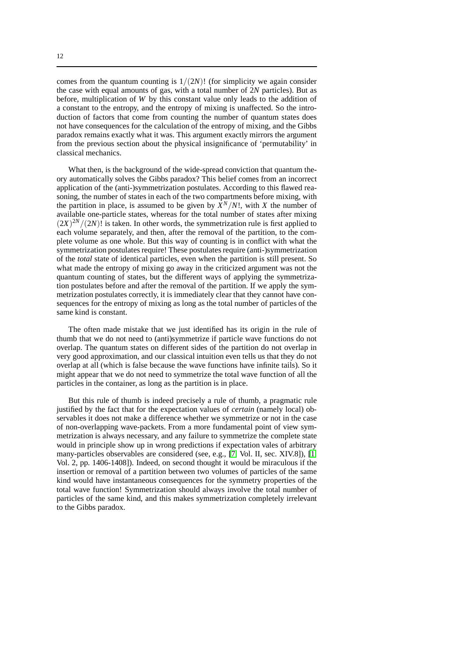comes from the quantum counting is  $1/(2N)!$  (for simplicity we again consider the case with equal amounts of gas, with a total number of 2*N* particles). But as before, multiplication of *W* by this constant value only leads to the addition of a constant to the entropy, and the entropy of mixing is unaffected. So the introduction of factors that come from counting the number of quantum states does

not have consequences for the calculation of the entropy of mixing, and the Gibbs paradox remains exactly what it was. This argument exactly mirrors the argument from the previous section about the physical insignificance of 'permutability' in classical mechanics.

What then, is the background of the wide-spread conviction that quantum theory automatically solves the Gibbs paradox? This belief comes from an incorrect application of the (anti-)symmetrization postulates. According to this flawed reasoning, the number of states in each of the two compartments before mixing, with the partition in place, is assumed to be given by  $\hat{X}^N/N!$ , with *X* the number of available one-particle states, whereas for the total number of states after mixing  $(2X)^{2N}/(2N)!$  is taken. In other words, the symmetrization rule is first applied to each volume separately, and then, after the removal of the partition, to the complete volume as one whole. But this way of counting is in conflict with what the symmetrization postulates require! These postulates require (anti-)symmetrization of the *total* state of identical particles, even when the partition is still present. So what made the entropy of mixing go away in the criticized argument was not the quantum counting of states, but the different ways of applying the symmetrization postulates before and after the removal of the partition. If we apply the symmetrization postulates correctly, it is immediately clear that they cannot have consequences for the entropy of mixing as long as the total number of particles of the same kind is constant.

The often made mistake that we just identified has its origin in the rule of thumb that we do not need to (anti)symmetrize if particle wave functions do not overlap. The quantum states on different sides of the partition do not overlap in very good approximation, and our classical intuition even tells us that they do not overlap at all (which is false because the wave functions have infinite tails). So it might appear that we do not need to symmetrize the total wave function of all the particles in the container, as long as the partition is in place.

But this rule of thumb is indeed precisely a rule of thumb, a pragmatic rule justified by the fact that for the expectation values of *certain* (namely local) observables it does not make a difference whether we symmetrize or not in the case of non-overlapping wave-packets. From a more fundamental point of view symmetrization is always necessary, and any failure to symmetrize the complete state would in principle show up in wrong predictions if expectation vales of arbitrary many-particles observables are considered (see, e.g., [\[7,](#page-14-6) Vol. II, sec. XIV.8]), [\[1,](#page-14-7) Vol. 2, pp. 1406-1408]). Indeed, on second thought it would be miraculous if the insertion or removal of a partition between two volumes of particles of the same kind would have instantaneous consequences for the symmetry properties of the total wave function! Symmetrization should always involve the total number of particles of the same kind, and this makes symmetrization completely irrelevant to the Gibbs paradox.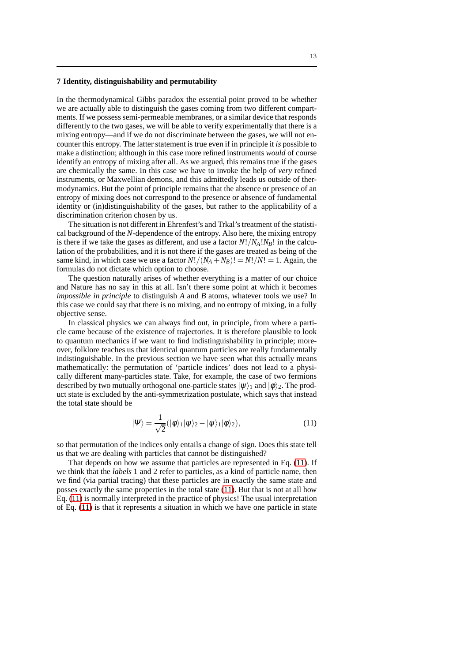## **7 Identity, distinguishability and permutability**

In the thermodynamical Gibbs paradox the essential point proved to be whether we are actually able to distinguish the gases coming from two different compartments. If we possess semi-permeable membranes, or a similar device that responds differently to the two gases, we will be able to verify experimentally that there is a mixing entropy—and if we do not discriminate between the gases, we will not encounter this entropy. The latter statement is true even if in principle it *is* possible to make a distinction; although in this case more refined instruments *would* of course identify an entropy of mixing after all. As we argued, this remains true if the gases are chemically the same. In this case we have to invoke the help of *very* refined instruments, or Maxwellian demons, and this admittedly leads us outside of thermodynamics. But the point of principle remains that the absence or presence of an entropy of mixing does not correspond to the presence or absence of fundamental identity or (in)distinguishability of the gases, but rather to the applicability of a discrimination criterion chosen by us.

The situation is not different in Ehrenfest's and Trkal's treatment of the statistical background of the *N*-dependence of the entropy. Also here, the mixing entropy is there if we take the gases as different, and use a factor  $N!/N_A!N_B!$  in the calculation of the probabilities, and it is not there if the gases are treated as being of the same kind, in which case we use a factor  $N!/(N_A+N_B)! = N!/N! = 1$ . Again, the formulas do not dictate which option to choose.

The question naturally arises of whether everything is a matter of our choice and Nature has no say in this at all. Isn't there some point at which it becomes *impossible in principle* to distinguish *A* and *B* atoms, whatever tools we use? In this case we could say that there is no mixing, and no entropy of mixing, in a fully objective sense.

In classical physics we can always find out, in principle, from where a particle came because of the existence of trajectories. It is therefore plausible to look to quantum mechanics if we want to find indistinguishability in principle; moreover, folklore teaches us that identical quantum particles are really fundamentally indistinguishable. In the previous section we have seen what this actually means mathematically: the permutation of 'particle indices' does not lead to a physically different many-particles state. Take, for example, the case of two fermions described by two mutually orthogonal one-particle states  $|\psi\rangle_1$  and  $|\phi\rangle_2$ . The product state is excluded by the anti-symmetrization postulate, which says that instead the total state should be

<span id="page-12-0"></span>
$$
|\Psi\rangle = \frac{1}{\sqrt{2}} (|\phi\rangle_1 |\psi\rangle_2 - |\psi\rangle_1 |\phi\rangle_2), \qquad (11)
$$

so that permutation of the indices only entails a change of sign. Does this state tell us that we are dealing with particles that cannot be distinguished?

That depends on how we assume that particles are represented in Eq. [\(11\)](#page-12-0). If we think that the *labels* 1 and 2 refer to particles, as a kind of particle name, then we find (via partial tracing) that these particles are in exactly the same state and posses exactly the same properties in the total state [\(11\)](#page-12-0). But that is not at all how Eq. [\(11\)](#page-12-0) is normally interpreted in the practice of physics! The usual interpretation of Eq. [\(11\)](#page-12-0) is that it represents a situation in which we have one particle in state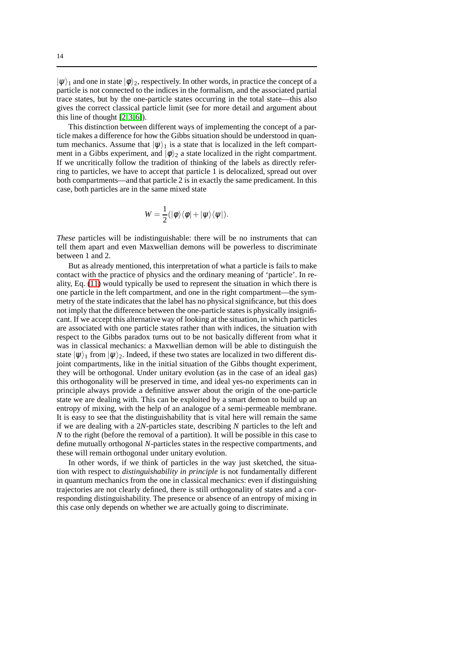$|\psi\rangle_1$  and one in state  $|\phi\rangle_2$ , respectively. In other words, in practice the concept of a particle is not connected to the indices in the formalism, and the associated partial trace states, but by the one-particle states occurring in the total state—this also gives the correct classical particle limit (see for more detail and argument about this line of thought [\[2,](#page-14-8)[3,](#page-14-9)[6\]](#page-14-10)).

This distinction between different ways of implementing the concept of a particle makes a difference for how the Gibbs situation should be understood in quantum mechanics. Assume that  $|\psi\rangle_1$  is a state that is localized in the left compartment in a Gibbs experiment, and  $|\phi\rangle_2$  a state localized in the right compartment. If we uncritically follow the tradition of thinking of the labels as directly referring to particles, we have to accept that particle 1 is delocalized, spread out over both compartments—and that particle 2 is in exactly the same predicament. In this case, both particles are in the same mixed state

$$
W=\frac{1}{2}(|\phi\rangle\langle\phi|+|\psi\rangle\langle\psi|).
$$

*These* particles will be indistinguishable: there will be no instruments that can tell them apart and even Maxwellian demons will be powerless to discriminate between 1 and 2.

But as already mentioned, this interpretation of what a particle is fails to make contact with the practice of physics and the ordinary meaning of 'particle'. In reality, Eq. [\(11\)](#page-12-0) would typically be used to represent the situation in which there is one particle in the left compartment, and one in the right compartment—the symmetry of the state indicates that the label has no physical significance, but this does not imply that the difference between the one-particle states is physically insignificant. If we accept this alternative way of looking at the situation, in which particles are associated with one particle states rather than with indices, the situation with respect to the Gibbs paradox turns out to be not basically different from what it was in classical mechanics: a Maxwellian demon will be able to distinguish the state  $|\psi\rangle_1$  from  $|\psi\rangle_2$ . Indeed, if these two states are localized in two different disjoint compartments, like in the initial situation of the Gibbs thought experiment, they will be orthogonal. Under unitary evolution (as in the case of an ideal gas) this orthogonality will be preserved in time, and ideal yes-no experiments can in principle always provide a definitive answer about the origin of the one-particle state we are dealing with. This can be exploited by a smart demon to build up an entropy of mixing, with the help of an analogue of a semi-permeable membrane. It is easy to see that the distinguishability that is vital here will remain the same if we are dealing with a 2*N*-particles state, describing *N* particles to the left and *N* to the right (before the removal of a partition). It will be possible in this case to define mutually orthogonal *N*-particles states in the respective compartments, and these will remain orthogonal under unitary evolution.

In other words, if we think of particles in the way just sketched, the situation with respect to *distinguishability in principle* is not fundamentally different in quantum mechanics from the one in classical mechanics: even if distinguishing trajectories are not clearly defined, there is still orthogonality of states and a corresponding distinguishability. The presence or absence of an entropy of mixing in this case only depends on whether we are actually going to discriminate.